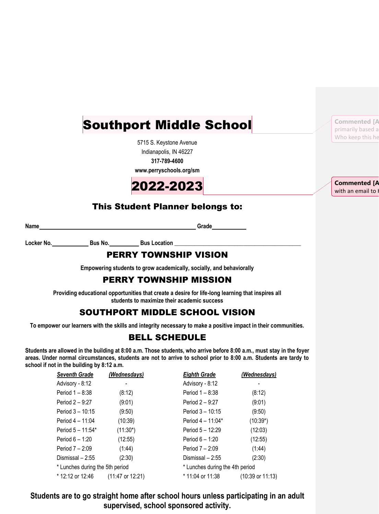# Southport Middle School

5715 S. Keystone Avenue Indianapolis, IN 46227

**317-789-4600**

**www.perryschools.org/sm**



### This Student Planner belongs to:

**Name Grade Grade Grade Grade Grade Grade Grade Grade Grade Grade Grade Grade Grade Grade Grade Grade Grade Grade Grade Grade Grade Grade Grade Grade Grade Grade Grade** 

Locker No. **Bus No. Bus Location** 

### PERRY TOWNSHIP VISION

**Empowering students to grow academically, socially, and behaviorally**

### PERRY TOWNSHIP MISSION

**Providing educational opportunities that create a desire for life-long learning that inspires all students to maximize their academic success**

### SOUTHPORT MIDDLE SCHOOL VISION

**To empower our learners with the skills and integrity necessary to make a positive impact in their communities.**

### BELL SCHEDULE

**Students are allowed in the building at 8:00 a.m. Those students, who arrive before 8:00 a.m., must stay in the foyer areas. Under normal circumstances, students are not to arrive to school prior to 8:00 a.m. Students are tardy to school if not in the building by 8:12 a.m.**

| <b>Seventh Grade</b>            | (Wednesdays)     | <b>Eighth Grade</b>             | (Wednesdays)                |
|---------------------------------|------------------|---------------------------------|-----------------------------|
| Advisory - 8:12                 |                  | Advisory - 8:12                 |                             |
| Period 1 - 8:38                 | (8:12)           | Period 1 - 8:38                 | (8:12)                      |
| Period 2 - 9:27                 | (9:01)           | Period 2 - 9:27                 | (9:01)                      |
| Period 3 - 10:15                | (9:50)           | Period 3 - 10:15                | (9:50)                      |
| Period 4 - 11:04                | (10:39)          | Period 4 - 11:04*               | $(10:39*)$                  |
| Period 5 - 11:54*               | $(11:30^*)$      | Period 5 - 12:29                | (12:03)                     |
| Period $6 - 1:20$               | (12:55)          | Period $6 - 1:20$               | (12:55)                     |
| Period 7 – 2:09                 | (1.44)           | Period $7 - 2:09$               | (1:44)                      |
| Dismissal - 2:55                | (2:30)           | Dismissal - 2:55                | (2:30)                      |
| * Lunches during the 5th period |                  | * Lunches during the 4th period |                             |
| * 12:12 or 12:46                | (11:47 or 12:21) | * 11:04 or 11:38                | $(10:39 \text{ or } 11:13)$ |

**Students are to go straight home after school hours unless participating in an adult supervised, school sponsored activity.**

**Commented [A** primarily based a Who keep this he

**Commented [A** with an email to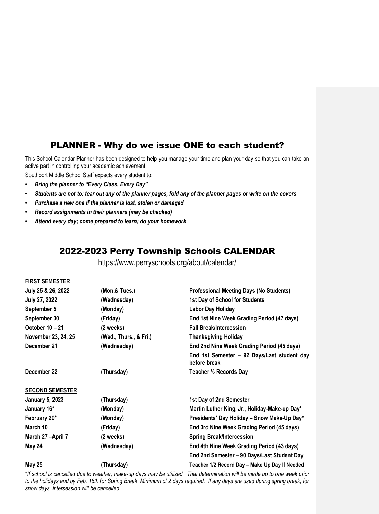### PLANNER - Why do we issue ONE to each student?

This School Calendar Planner has been designed to help you manage your time and plan your day so that you can take an active part in controlling your academic achievement.

Southport Middle School Staff expects every student to:

- *• Bring the planner to "Every Class, Every Day"*
- *• Students are not to: tear out any of the planner pages, fold any of the planner pages or write on the covers*
- *• Purchase a new one if the planner is lost, stolen or damaged*
- *• Record assignments in their planners (may be checked)*
- *• Attend every day; come prepared to learn; do your homework*

### 2022-2023 Perry Township Schools CALENDAR

https://www.perryschools.org/about/calendar/

#### **FIRST SEMESTER**

| July 25 & 26, 2022     | (Mon.& Tues.)          | <b>Professional Meeting Days (No Students)</b>              |
|------------------------|------------------------|-------------------------------------------------------------|
| July 27, 2022          | (Wednesday)            | 1st Day of School for Students                              |
| September 5            | (Monday)               | Labor Day Holiday                                           |
| September 30           | (Friday)               | End 1st Nine Week Grading Period (47 days)                  |
| October 10 - 21        | (2 weeks)              | <b>Fall Break/Intercession</b>                              |
| November 23, 24, 25    | (Wed., Thurs., & Fri.) | <b>Thanksgiving Holiday</b>                                 |
| December 21            | (Wednesday)            | End 2nd Nine Week Grading Period (45 days)                  |
|                        |                        | End 1st Semester - 92 Days/Last student day<br>before break |
| December 22            | (Thursday)             | Teacher 1/2 Records Day                                     |
| <b>SECOND SEMESTER</b> |                        |                                                             |
| <b>January 5, 2023</b> | (Thursday)             | 1st Day of 2nd Semester                                     |
| January 16*            | (Monday)               | Martin Luther King, Jr., Holiday-Make-up Day*               |
| February 20*           | (Monday)               | Presidents' Day Holiday - Snow Make-Up Day*                 |
| March 10               | (Friday)               | End 3rd Nine Week Grading Period (45 days)                  |
| March 27-April 7       | (2 weeks)              | <b>Spring Break/Intercession</b>                            |
| May 24                 | (Wednesday)            | End 4th Nine Week Grading Period (43 days)                  |
|                        |                        | End 2nd Semester - 90 Days/Last Student Day                 |
| <b>May 25</b>          | (Thursday)             | Teacher 1/2 Record Day - Make Up Day If Needed              |

\**If school is cancelled due to weather, make-up days may be utilized. That determination will be made up to one week prior to the holidays and by Feb. 18th for Spring Break. Minimum of 2 days required. If any days are used during spring break, for snow days, intersession will be cancelled.*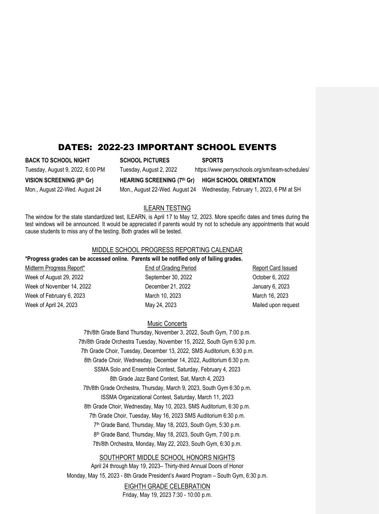### DATES: 2022-23 IMPORTANT SCHOOL EVENTS

**BACK TO SCHOOL NIGHT SCHOOL PICTURES SPORTS** Tuesday, August 9, 2022, 6:00 PM Tuesday, August 2, 2022 https://www.perryschools.org/sm/team-schedules/ **VISION SCREENING (8th Gr) HEARING SCREENING (7th Gr) HIGH SCHOOL ORIENTATION** Mon., August 22-Wed. August 24 Mon., August 22-Wed. August 24 Wednesday, February 1, 2023, 6 PM at SH

### ILEARN TESTING

The window for the state standardized test, ILEARN, is April 17 to May 12, 2023. More specific dates and times during the test windows will be announced. It would be appreciated if parents would try not to schedule any appointments that would cause students to miss any of the testing. Both grades will be tested.

#### MIDDLE SCHOOL PROGRESS REPORTING CALENDAR **\*Progress grades can be accessed online. Parents will be notified only of failing grades.**

Midterm Progress Report\* End of Grading Period Report Card Issued Week of August 29, 2022 September 30, 2022 October 6, 2022 Week of November 14, 2022 December 21, 2022 January 6, 2023 Week of February 6, 2023 March 10, 2023 March 16, 2023 Week of April 24, 2023 May 24, 2023 May 24, 2023

#### Music Concerts

7th/8th Grade Band Thursday, November 3, 2022, South Gym, 7:00 p.m. 7th/8th Grade Orchestra Tuesday, November 15, 2022, South Gym 6:30 p.m. 7th Grade Choir, Tuesday, December 13, 2022, SMS Auditorium, 6:30 p.m. 8th Grade Choir, Wednesday, December 14, 2022, Auditorium 6:30 p.m. SSMA Solo and Ensemble Contest, Saturday, February 4, 2023 8th Grade Jazz Band Contest, Sat, March 4, 2023 7th/8th Grade Orchestra, Thursday, March 9, 2023, South Gym 6:30 p.m. ISSMA Organizational Contest, Saturday, March 11, 2023 8th Grade Choir, Wednesday, May 10, 2023, SMS Auditorium, 6:30 p.m. 7th Grade Choir, Tuesday, May 16, 2023 SMS Auditorium 6:30 p.m. 7 th Grade Band, Thursday, May 18, 2023, South Gym, 5:30 p.m. 8 th Grade Band, Thursday, May 18, 2023, South Gym, 7:00 p.m. 7th/8th Orchestra, Monday, May 22, 2023, South Gym, 6:30 p.m.

#### SOUTHPORT MIDDLE SCHOOL HONORS NIGHTS

April 24 through May 19, 2023– Thirty-third Annual Doors of Honor Monday, May 15, 2023 - 8th Grade President's Award Program – South Gym, 6:30 p.m.

> EIGHTH GRADE CELEBRATION Friday, May 19, 2023 7:30 - 10:00 p.m.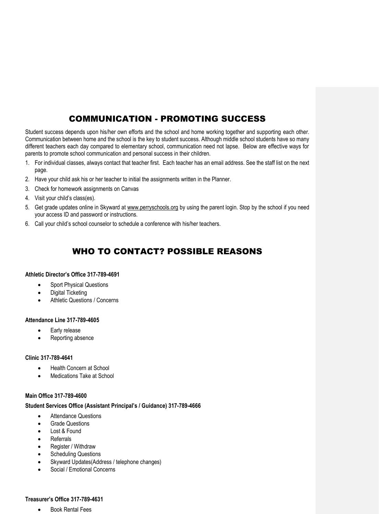### COMMUNICATION - PROMOTING SUCCESS

Student success depends upon his/her own efforts and the school and home working together and supporting each other. Communication between home and the school is the key to student success. Although middle school students have so many different teachers each day compared to elementary school, communication need not lapse. Below are effective ways for parents to promote school communication and personal success in their children.

- 1. For individual classes, always contact that teacher first. Each teacher has an email address. See the staff list on the next page.
- 2. Have your child ask his or her teacher to initial the assignments written in the Planner.
- 3. Check for homework assignments on Canvas
- 4. Visit your child's class(es).
- 5. Get grade updates online in Skyward at www.perryschools.org by using the parent login. Stop by the school if you need your access ID and password or instructions.
- 6. Call your child's school counselor to schedule a conference with his/her teachers.

### WHO TO CONTACT? POSSIBLE REASONS

#### **Athletic Director's Office 317-789-4691**

- Sport Physical Questions
- Digital Ticketing
- Athletic Questions / Concerns

#### **Attendance Line 317-789-4605**

- Early release
- Reporting absence

#### **Clinic 317-789-4641**

- Health Concern at School
- Medications Take at School

#### **Main Office 317-789-4600**

#### **Student Services Office (Assistant Principal's / Guidance) 317-789-4666**

- Attendance Questions
- Grade Questions
- Lost & Found
- Referrals
- Register / Withdraw
- Scheduling Questions
- Skyward Updates(Address / telephone changes)
- Social / Emotional Concerns

#### **Treasurer's Office 317-789-4631**

**•** Book Rental Fees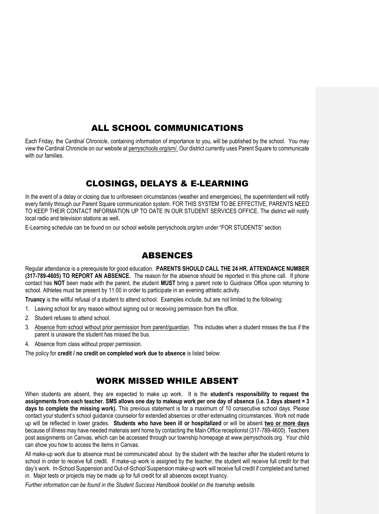# ALL SCHOOL COMMUNICATIONS

Each Friday, the *Cardinal Chronicle*, containing information of importance to you, will be published by the school. You may view the Cardinal Chronicle on our website at perryschools.org/sm/. Our district currently uses Parent Square to communicate with our families.

# CLOSINGS, DELAYS & E-LEARNING

In the event of a delay or closing due to unforeseen circumstances (weather and emergencies), the superintendent will notify every family through our Parent Square communication system. FOR THIS SYSTEM TO BE EFFECTIVE, PARENTS NEED TO KEEP THEIR CONTACT INFORMATION UP TO DATE IN OUR STUDENT SERVICES OFFICE. The district will notify local radio and television stations as well**.** 

E-Learning schedule can be found on our school website perryschools.org/sm under "FOR STUDENTS" section.

### ABSENCES

Regular attendance is a prerequisite for good education. **PARENTS SHOULD CALL THE 24 HR. ATTENDANCE NUMBER (317-789-4605) TO REPORT AN ABSENCE.** The reason for the absence should be reported in this phone call. If phone contact has **NOT** been made with the parent, the student **MUST** bring a parent note to Guidnace Office upon returning to school. Athletes must be present by 11:00 in order to participate in an evening athletic activity.

**Truancy** is the willful refusal of a student to attend school. Examples include, but are not limited to the following:

- 1. Leaving school for any reason without signing out or receiving permission from the office.
- 2. Student refuses to attend school.
- 3. Absence from school without prior permission from parent/guardian. This includes when a student misses the bus if the parent is unaware the student has missed the bus.
- 4. Absence from class without proper permission.

The policy for **credit / no credit on completed work due to absence** is listed below:

### WORK MISSED WHILE ABSENT

When students are absent, they are expected to make up work. It is the **student's responsibility to request the assignments from each teacher. SMS allows one day to makeup work per one day of absence (i.e. 3 days absent = 3 days to complete the missing work).** This previous statement is for a maximum of 10 consecutive school days. Please contact your student's school guidance counselor for extended absences or other extenuating circumstances. Work not made up will be reflected in lower grades. **Students who have been ill or hospitalized** or will be absent **two or more days** because of illness may have needed materials sent home by contacting the Main Office receptionist (317-789-4600). Teachers post assignments on Canvas, which can be accessed through our township homepage at www.perryschools.org. Your child can show you how to access the items in Canvas.

All make-up work due to absence must be communicated about by the student with the teacher after the student returns to school in order to receive full credit. If make-up work is assigned by the teacher, the student will receive full credit for that day's work. In-School Suspension and Out-of-School Suspension make-up work will receive full credit if completed and turned in. Major tests or projects may be made up for full credit for all absences except truancy.

*Further information can be found in the Student Success Handbook booklet on the township website.*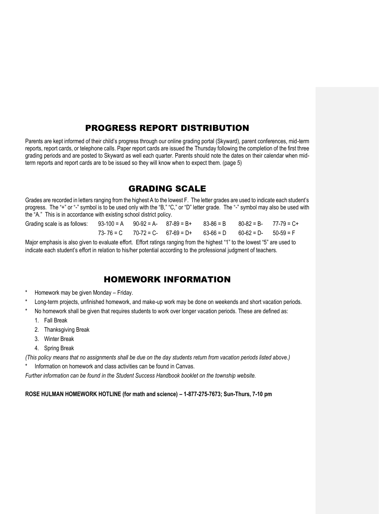### PROGRESS REPORT DISTRIBUTION

Parents are kept informed of their child's progress through our online grading portal (Skyward), parent conferences, mid-term reports, report cards, or telephone calls. Paper report cards are issued the Thursday following the completion of the first three grading periods and are posted to Skyward as well each quarter. Parents should note the dates on their calendar when midterm reports and report cards are to be issued so they will know when to expect them. (page 5)

### GRADING SCALE

Grades are recorded in letters ranging from the highest A to the lowest F. The letter grades are used to indicate each student's progress. The "+" or "-" symbol is to be used only with the "B," "C," or "D" letter grade. The "-" symbol may also be used with the "A." This is in accordance with existing school district policy.

| Grading scale is as follows: $93-100 = A$ $90-92 = A$ - $87-89 = B$ + $83-86 = B$ $80-82 = B$ - $77-79 = C + B$ |  |                                                                               |  |  |
|-----------------------------------------------------------------------------------------------------------------|--|-------------------------------------------------------------------------------|--|--|
|                                                                                                                 |  | $73-76 = C$ $70-72 = C$ - $67-69 = D$ + $63-66 = D$ $60-62 = D$ - $50-59 = F$ |  |  |

Major emphasis is also given to evaluate effort. Effort ratings ranging from the highest "1" to the lowest "5" are used to indicate each student's effort in relation to his/her potential according to the professional judgment of teachers.

### HOMEWORK INFORMATION

- Homework may be given Monday Friday.
- Long-term projects, unfinished homework, and make-up work may be done on weekends and short vacation periods.
- No homework shall be given that requires students to work over longer vacation periods. These are defined as:
	- 1. Fall Break
	- 2. Thanksgiving Break
	- 3. Winter Break
	- 4. Spring Break

*(This policy means that no assignments shall be due on the day students return from vacation periods listed above.)*

Information on homework and class activities can be found in Canvas.

*Further information can be found in the Student Success Handbook booklet on the township website.*

#### **ROSE HULMAN HOMEWORK HOTLINE (for math and science) – 1-877-275-7673; Sun-Thurs, 7-10 pm**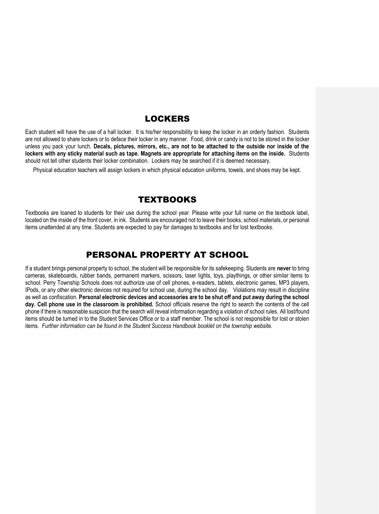### LOCKERS

Each student will have the use of a hall locker. It is his/her responsibility to keep the locker in an orderly fashion. Students are not allowed to share lockers or to deface their locker in any manner. Food, drink or candy is not to be stored in the locker unless you pack your lunch. **Decals, pictures, mirrors, etc., are not to be attached to the outside nor inside of the lockers with any sticky material such as tape. Magnets are appropriate for attaching items on the inside.** Students should not tell other students their locker combination. Lockers may be searched if it is deemed necessary.

Physical education teachers will assign lockers in which physical education uniforms, towels, and shoes may be kept.

### **TEXTBOOKS**

Textbooks are loaned to students for their use during the school year. Please write your full name on the textbook label, located on the inside of the front cover, in ink. Students are encouraged not to leave their books, school materials, or personal items unattended at any time. Students are expected to pay for damages to textbooks and for lost textbooks.

### PERSONAL PROPERTY AT SCHOOL

If a student brings personal property to school, the student will be responsible for its safekeeping. Students are **never** to bring cameras, skateboards, rubber bands, permanent markers, scissors, laser lights, toys, playthings, or other similar items to school. Perry Township Schools does not authorize use of cell phones, e-readers, tablets, electronic games, MP3 players, IPods, or any other electronic devices not required for school use, during the school day.Violations may result in discipline as well as confiscation. **Personal electronic devices and accessories are to be shut off and put away during the school day. Cell phone use in the classroom is prohibited.** School officials reserve the right to search the contents of the cell phone if there is reasonable suspicion that the search will reveal information regarding a violation of school rules. All lost/found items should be turned in to the Student Services Office or to a staff member. The school is not responsible for lost or stolen items. *Further information can be found in the Student Success Handbook booklet on the township website.*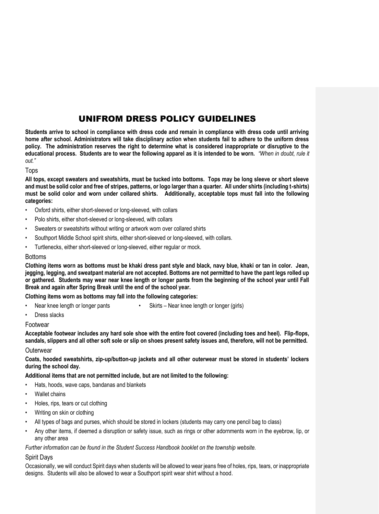### UNIFROM DRESS POLICY GUIDELINES

**Students arrive to school in compliance with dress code and remain in compliance with dress code until arriving home after school. Administrators will take disciplinary action when students fail to adhere to the uniform dress policy. The administration reserves the right to determine what is considered inappropriate or disruptive to the educational process. Students are to wear the following apparel as it is intended to be worn.** *"When in doubt, rule it out."*

#### Tops

**All tops, except sweaters and sweatshirts, must be tucked into bottoms. Tops may be long sleeve or short sleeve and must be solid color and free of stripes, patterns, or logo larger than a quarter. All under shirts (including t-shirts) must be solid color and worn under collared shirts. Additionally, acceptable tops must fall into the following categories:**

- Oxford shirts, either short-sleeved or long-sleeved, with collars
- Polo shirts, either short-sleeved or long-sleeved, with collars
- Sweaters or sweatshirts without writing or artwork worn over collared shirts
- Southport Middle School spirit shirts, either short-sleeved or long-sleeved, with collars.
- Turtlenecks, either short-sleeved or long-sleeved, either regular or mock.

#### Bottoms

**Clothing items worn as bottoms must be khaki dress pant style and black, navy blue, khaki or tan in color. Jean, jegging, legging, and sweatpant material are not accepted. Bottoms are not permitted to have the pant legs rolled up or gathered. Students may wear near knee length or longer pants from the beginning of the school year until Fall Break and again after Spring Break until the end of the school year.** 

**Clothing items worn as bottoms may fall into the following categories:**

- Near knee length or longer pants Skirts Near knee length or longer (girls)
- Dress slacks

#### Footwear

**Acceptable footwear includes any hard sole shoe with the entire foot covered (including toes and heel). Flip-flops, sandals, slippers and all other soft sole or slip on shoes present safety issues and, therefore, will not be permitted.**

#### **Outerwear**

**Coats, hooded sweatshirts, zip-up/button-up jackets and all other outerwear must be stored in students' lockers during the school day.**

**Additional items that are not permitted include, but are not limited to the following:**

- Hats, hoods, wave caps, bandanas and blankets
- Wallet chains
- Holes, rips, tears or cut clothing
- Writing on skin or clothing
- All types of bags and purses, which should be stored in lockers (students may carry one pencil bag to class)
- Any other items, if deemed a disruption or safety issue, such as rings or other adornments worn in the eyebrow, lip, or any other area

*Further information can be found in the Student Success Handbook booklet on the township website.*

#### Spirit Days

Occasionally, we will conduct Spirit days when students will be allowed to wear jeans free of holes, rips, tears, or inappropriate designs. Students will also be allowed to wear a Southport spirit wear shirt without a hood.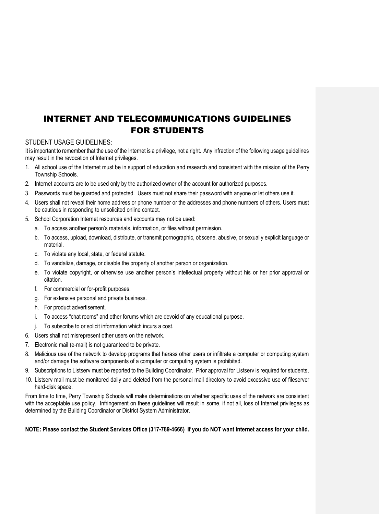# INTERNET AND TELECOMMUNICATIONS GUIDELINES FOR STUDENTS

#### STUDENT USAGE GUIDELINES:

It is important to remember that the use of the Internet is a privilege, not a right. Any infraction of the following usage guidelines may result in the revocation of Internet privileges.

- 1. All school use of the Internet must be in support of education and research and consistent with the mission of the Perry Township Schools.
- 2. Internet accounts are to be used only by the authorized owner of the account for authorized purposes.
- 3. Passwords must be guarded and protected. Users must not share their password with anyone or let others use it.
- 4. Users shall not reveal their home address or phone number or the addresses and phone numbers of others. Users must be cautious in responding to unsolicited online contact.
- 5. School Corporation Internet resources and accounts may not be used:
	- a. To access another person's materials, information, or files without permission.
	- b. To access, upload, download, distribute, or transmit pornographic, obscene, abusive, or sexually explicit language or material.
	- c. To violate any local, state, or federal statute.
	- d. To vandalize, damage, or disable the property of another person or organization.
	- e. To violate copyright, or otherwise use another person's intellectual property without his or her prior approval or citation.
	- f. For commercial or for-profit purposes.
	- g. For extensive personal and private business.
	- h. For product advertisement.
	- i. To access "chat rooms" and other forums which are devoid of any educational purpose.
	- To subscribe to or solicit information which incurs a cost.
- 6. Users shall not misrepresent other users on the network.
- 7. Electronic mail (e-mail) is not guaranteed to be private.
- 8. Malicious use of the network to develop programs that harass other users or infiltrate a computer or computing system and/or damage the software components of a computer or computing system is prohibited.
- 9. Subscriptions to Listserv must be reported to the Building Coordinator. Prior approval for Listserv is required for students.
- 10. Listserv mail must be monitored daily and deleted from the personal mail directory to avoid excessive use of fileserver hard-disk space.

From time to time, Perry Township Schools will make determinations on whether specific uses of the network are consistent with the acceptable use policy. Infringement on these guidelines will result in some, if not all, loss of Internet privileges as determined by the Building Coordinator or District System Administrator.

#### **NOTE: Please contact the Student Services Office (317-789-4666) if you do NOT want Internet access for your child.**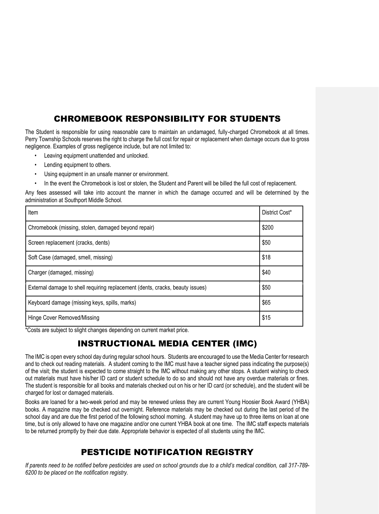# CHROMEBOOK RESPONSIBILITY FOR STUDENTS

The Student is responsible for using reasonable care to maintain an undamaged, fully-charged Chromebook at all times. Perry Township Schools reserves the right to charge the full cost for repair or replacement when damage occurs due to gross negligence. Examples of gross negligence include, but are not limited to:

- Leaving equipment unattended and unlocked.
- Lending equipment to others.
- Using equipment in an unsafe manner or environment.
- In the event the Chromebook is lost or stolen, the Student and Parent will be billed the full cost of replacement.

Any fees assessed will take into account the manner in which the damage occurred and will be determined by the administration at Southport Middle School.

| Item                                                                          | District Cost* |
|-------------------------------------------------------------------------------|----------------|
| Chromebook (missing, stolen, damaged beyond repair)                           | \$200          |
| Screen replacement (cracks, dents)                                            | \$50           |
| Soft Case (damaged, smell, missing)                                           | \$18           |
| Charger (damaged, missing)                                                    | \$40           |
| External damage to shell requiring replacement (dents, cracks, beauty issues) | \$50           |
| Keyboard damage (missing keys, spills, marks)                                 | \$65           |
| Hinge Cover Removed/Missing                                                   | \$15           |

\*Costs are subject to slight changes depending on current market price.

# INSTRUCTIONAL MEDIA CENTER (IMC)

The IMC is open every school day during regular school hours. Students are encouraged to use the Media Center for research and to check out reading materials. A student coming to the IMC must have a teacher signed pass indicating the purpose(s) of the visit; the student is expected to come straight to the IMC without making any other stops. A student wishing to check out materials must have his/her ID card or student schedule to do so and should not have any overdue materials or fines. The student is responsible for all books and materials checked out on his or her ID card (or schedule), and the student will be charged for lost or damaged materials.

Books are loaned for a two-week period and may be renewed unless they are current Young Hoosier Book Award (YHBA) books. A magazine may be checked out overnight. Reference materials may be checked out during the last period of the school day and are due the first period of the following school morning. A student may have up to three items on loan at one time, but is only allowed to have one magazine and/or one current YHBA book at one time. The IMC staff expects materials to be returned promptly by their due date. Appropriate behavior is expected of all students using the IMC.

### PESTICIDE NOTIFICATION REGISTRY

*If parents need to be notified before pesticides are used on school grounds due to a child's medical condition, call 317-789- 6200 to be placed on the notification registry.*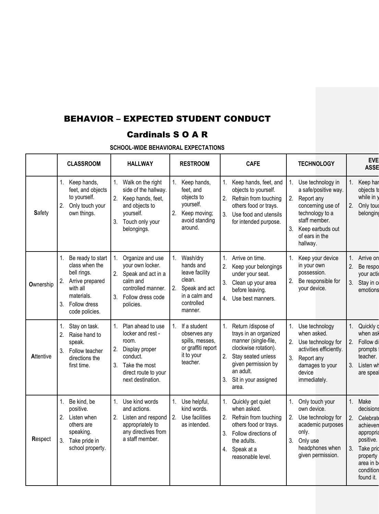# BEHAVIOR – EXPECTED STUDENT CONDUCT

# Cardinals S O A R

|               | <b>CLASSROOM</b>                                                                                                                                                | <b>HALLWAY</b>                                                                                                                                                            | <b>RESTROOM</b>                                                                                                          | <b>CAFE</b>                                                                                                                                                                                              | <b>TECHNOLOGY</b>                                                                                                                                                              | <b>EVE</b><br><b>ASSE</b>                                                                                                                                     |
|---------------|-----------------------------------------------------------------------------------------------------------------------------------------------------------------|---------------------------------------------------------------------------------------------------------------------------------------------------------------------------|--------------------------------------------------------------------------------------------------------------------------|----------------------------------------------------------------------------------------------------------------------------------------------------------------------------------------------------------|--------------------------------------------------------------------------------------------------------------------------------------------------------------------------------|---------------------------------------------------------------------------------------------------------------------------------------------------------------|
| <b>Safety</b> | 1. Keep hands,<br>feet, and objects<br>to yourself.<br>2.<br>Only touch your<br>own things.                                                                     | Walk on the right<br>$1_{-}$<br>side of the hallway.<br>2.<br>Keep hands, feet,<br>and objects to<br>yourself.<br>Touch only your<br>3.<br>belongings.                    | Keep hands,<br>$1_{-}$<br>feet, and<br>objects to<br>yourself.<br>2.<br>Keep moving;<br>avoid standing<br>around.        | Keep hands, feet, and<br>1.<br>objects to yourself.<br>2.<br>Refrain from touching<br>others food or trays.<br>Use food and utensils<br>3<br>for intended purpose.                                       | 1. Use technology in<br>a safe/positive way.<br>Report any<br>2.<br>concerning use of<br>technology to a<br>staff member.<br>3. Keep earbuds out<br>of ears in the<br>hallway. | 1.<br>Keep har<br>objects to<br>while in $y$<br>2.<br>Only toud<br>belonging                                                                                  |
| Ownership     | 1.<br>Be ready to start<br>class when the<br>bell rings.<br>2.<br>Arrive prepared<br>with all<br>materials.<br>3 <sub>1</sub><br>Follow dress<br>code policies. | 1.<br>Organize and use<br>your own locker.<br>2. Speak and act in a<br>calm and<br>controlled manner.<br>3.<br>Follow dress code<br>policies.                             | Wash/dry<br>1.<br>hands and<br>leave facility<br>clean.<br>2.<br>Speak and act<br>in a calm and<br>controlled<br>manner. | 1.<br>Arrive on time.<br>2.<br>Keep your belongings<br>under your seat.<br>3.<br>Clean up your area<br>before leaving.<br>4. Use best manners.                                                           | Keep your device<br>in your own<br>possession.<br>Be responsible for<br>2.<br>your device.                                                                                     | Arrive on<br>2.<br>Be respo<br>your actio<br>3. Stay in c<br>emotions                                                                                         |
| Attentive     | 1.<br>Stay on task.<br>2 <sup>2</sup><br>Raise hand to<br>speak.<br>3. Follow teacher<br>directions the<br>first time.                                          | Plan ahead to use<br>$\mathbf{1}$ .<br>locker and rest -<br>room.<br>Display proper<br>2.<br>conduct.<br>Take the most<br>3.<br>direct route to your<br>next destination. | If a student<br>$1_{-}$<br>observes any<br>spills, messes,<br>or graffiti report<br>it to your<br>teacher.               | 1.<br>Return /dispose of<br>trays in an organized<br>manner (single-file,<br>clockwise rotation).<br>2.<br>Stav seated unless<br>given permission by<br>an adult.<br>3.<br>Sit in your assigned<br>area. | Use technology<br>1.<br>when asked.<br>Use technology for<br>activities efficiently.<br>3.<br>Report any<br>damages to your<br>device<br>immediately.                          | 1.<br>Quickly o<br>when asl<br>Follow di<br>2.<br>prompts<br>teacher.<br>3.<br>Listen wh<br>are spea                                                          |
| Respect       | Be kind, be<br>1.<br>positive.<br>2. Listen when<br>others are<br>speaking.<br>Take pride in<br>3.<br>school property.                                          | Use kind words<br>$1_{\cdot}$<br>and actions.<br>Listen and respond<br>2.<br>appropriately to<br>any directives from<br>a staff member.                                   | Use helpful.<br>1.<br>kind words.<br>2.<br>Use facilities<br>as intended.                                                | Quickly get quiet<br>1.<br>when asked.<br>Refrain from touching<br>2.<br>others food or trays.<br>3.<br>Follow directions of<br>the adults.<br>4. Speak at a<br>reasonable level.                        | Only touch your<br>1.<br>own device.<br>Use technology for<br>2.<br>academic purposes<br>only.<br>3.<br>Only use<br>headphones when<br>given permission.                       | Make<br>1.<br>decisions<br>2.<br><b>Celebrate</b><br>achieven<br>appropria<br>positive.<br>3.<br>Take prid<br>property<br>area in b<br>condition<br>found it. |

**SCHOOL-WIDE BEHAVIORAL EXPECTATIONS**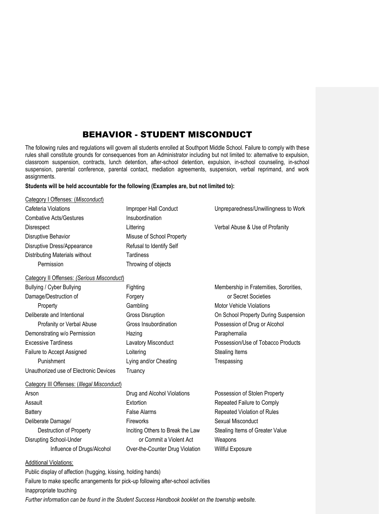### BEHAVIOR - STUDENT MISCONDUCT

The following rules and regulations will govern all students enrolled at Southport Middle School. Failure to comply with these rules shall constitute grounds for consequences from an Administrator including but not limited to: alternative to expulsion, classroom suspension, contracts, lunch detention, after-school detention, expulsion, in-school counseling, in-school suspension, parental conference, parental contact, mediation agreements, suspension, verbal reprimand, and work assignments.

#### **Students will be held accountable for the following (Examples are, but not limited to):**

#### Category I Offenses: (*Misconduct*)

| Cafeteria Violations           | Improper Hall Conduct     | Unpreparedness/Unwillingness to Work |
|--------------------------------|---------------------------|--------------------------------------|
| <b>Combative Acts/Gestures</b> | Insubordination           |                                      |
| <b>Disrespect</b>              | Littering                 | Verbal Abuse & Use of Profanity      |
| Disruptive Behavior            | Misuse of School Property |                                      |
| Disruptive Dress/Appearance    | Refusal to Identify Self  |                                      |
| Distributing Materials without | Tardiness                 |                                      |
| Permission                     | Throwing of objects       |                                      |

### Category II Offenses: *(Serious Misconduct*)

| Bullying / Cyber Bullying              | Fighting                   | Membership in Fraternities, Sororities, |
|----------------------------------------|----------------------------|-----------------------------------------|
| Damage/Destruction of                  | Forgery                    | or Secret Societies                     |
| Property                               | Gambling                   | <b>Motor Vehicle Violations</b>         |
| Deliberate and Intentional             | Gross Disruption           | On School Property During Suspension    |
| Profanity or Verbal Abuse              | Gross Insubordination      | Possession of Drug or Alcohol           |
| Demonstrating w/o Permission           | Hazing                     | Paraphernalia                           |
| <b>Excessive Tardiness</b>             | <b>Lavatory Misconduct</b> | Possession/Use of Tobacco Products      |
| Failure to Accept Assigned             | Loitering                  | Stealing Items                          |
| Punishment                             | Lying and/or Cheating      | Trespassing                             |
| Unauthorized use of Electronic Devices | Truancy                    |                                         |

#### Category III Offenses: (*Illegal Misconduct*)

| Arson                      | Drug and Alcohol Violations      | Possession of Stolen Property   |
|----------------------------|----------------------------------|---------------------------------|
| Assault                    | Extortion                        | Repeated Failure to Comply      |
| Battery                    | <b>False Alarms</b>              | Repeated Violation of Rules     |
| Deliberate Damage/         | <b>Fireworks</b>                 | Sexual Misconduct               |
| Destruction of Property    | Inciting Others to Break the Law | Stealing Items of Greater Value |
| Disrupting School-Under    | or Commit a Violent Act          | Weapons                         |
| Influence of Drugs/Alcohol | Over-the-Counter Drug Violation  | <b>Willful Exposure</b>         |

#### Additional Violations:

Public display of affection (hugging, kissing, holding hands) Failure to make specific arrangements for pick-up following after-school activities Inappropriate touching *Further information can be found in the Student Success Handbook booklet on the township website.*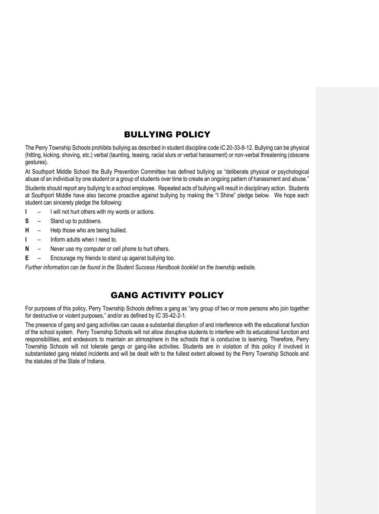### BULLYING POLICY

The Perry Township Schools prohibits bullying as described in student discipline code IC 20-33-8-12. Bullying can be physical (hitting, kicking, shoving, etc.) verbal (taunting, teasing, racial slurs or verbal harassment) or non-verbal threatening (obscene gestures).

At Southport Middle School the Bully Prevention Committee has defined bullying as "deliberate physical or psychological abuse of an individual by one student or a group of students over time to create an ongoing pattern of harassment and abuse."

Students should report any bullying to a school employee. Repeated acts of bullying will result in disciplinary action. Students at Southport Middle have also become proactive against bullying by making the "I Shine" pledge below. We hope each student can sincerely pledge the following:

- **I** I will not hurt others with my words or actions.
- **S** Stand up to putdowns.
- **H** Help those who are being bullied.
- **I** Inform adults when I need to.
- **N** Never use my computer or cell phone to hurt others.
- **E** Encourage my friends to stand up against bullying too.

*Further information can be found in the Student Success Handbook booklet on the township website.*

### GANG ACTIVITY POLICY

For purposes of this policy, Perry Township Schools defines a gang as "any group of two or more persons who join together for destructive or violent purposes," and/or as defined by IC 35-42-2-1.

The presence of gang and gang activities can cause a substantial disruption of and interference with the educational function of the school system. Perry Township Schools will not allow disruptive students to interfere with its educational function and responsibilities, and endeavors to maintain an atmosphere in the schools that is conducive to learning. Therefore, Perry Township Schools will not tolerate gangs or gang-like activities. Students are in violation of this policy if involved in substantiated gang related incidents and will be dealt with to the fullest extent allowed by the Perry Township Schools and the statutes of the State of Indiana.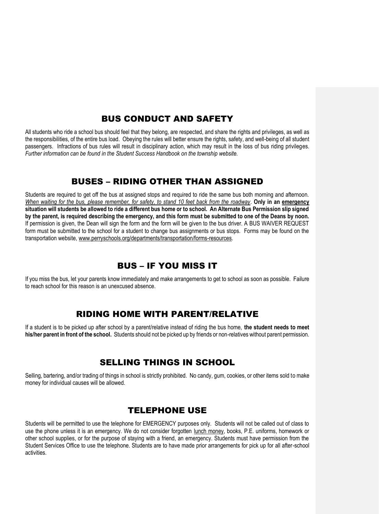### BUS CONDUCT AND SAFETY

All students who ride a school bus should feel that they belong, are respected, and share the rights and privileges, as well as the responsibilities, of the entire bus load. Obeying the rules will better ensure the rights, safety, and well-being of all student passengers. Infractions of bus rules will result in disciplinary action, which may result in the loss of bus riding privileges. *Further information can be found in the Student Success Handbook on the township website.*

### BUSES – RIDING OTHER THAN ASSIGNED

Students are required to get off the bus at assigned stops and required to ride the same bus both morning and afternoon. *When waiting for the bus, please remember, for safety, to stand 10 feet back from the roadway*. **Only in an emergency situation will students be allowed to ride a different bus home or to school. An Alternate Bus Permission slip signed by the parent, is required describing the emergency, and this form must be submitted to one of the Deans by noon.**  If permission is given, the Dean will sign the form and the form will be given to the bus driver. A BUS WAIVER REQUEST form must be submitted to the school for a student to change bus assignments or bus stops. Forms may be found on the transportation website, www.perryschools.org/departments/transportation/forms-resources.

### BUS – IF YOU MISS IT

If you miss the bus, let your parents know immediately and make arrangements to get to school as soon as possible. Failure to reach school for this reason is an unexcused absence.

### RIDING HOME WITH PARENT/RELATIVE

If a student is to be picked up after school by a parent/relative instead of riding the bus home, **the student needs to meet his/her parent in front of the school.** Students should not be picked up by friends or non-relatives without parent permission.

### SELLING THINGS IN SCHOOL

Selling, bartering, and/or trading of things in school is strictly prohibited. No candy, gum, cookies, or other items sold to make money for individual causes will be allowed.

### TELEPHONE USE

Students will be permitted to use the telephone for EMERGENCY purposes only. Students will not be called out of class to use the phone unless it is an emergency. We do not consider forgotten lunch money, books, P.E. uniforms, homework or other school supplies, or for the purpose of staying with a friend, an emergency. Students must have permission from the Student Services Office to use the telephone. Students are to have made prior arrangements for pick up for all after-school activities.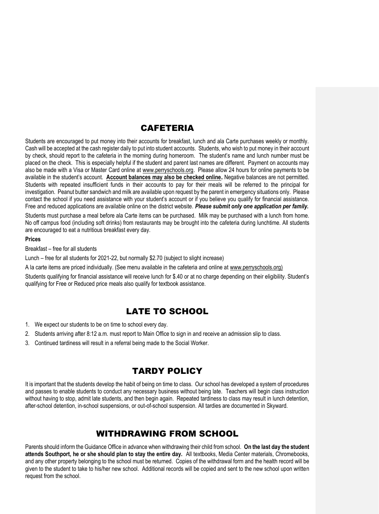### **CAFETERIA**

Students are encouraged to put money into their accounts for breakfast, lunch and ala Carte purchases weekly or monthly. Cash will be accepted at the cash register daily to put into student accounts. Students, who wish to put money in their account by check, should report to the cafeteria in the morning during homeroom. The student's name and lunch number must be placed on the check. This is especially helpful if the student and parent last names are different. Payment on accounts may also be made with a Visa or Master Card online at www.perryschools.org. Please allow 24 hours for online payments to be available in the student's account. **Account balances may also be checked online.** Negative balances are not permitted. Students with repeated insufficient funds in their accounts to pay for their meals will be referred to the principal for investigation. Peanut butter sandwich and milk are available upon request by the parent in emergency situations only. Please contact the school if you need assistance with your student's account or if you believe you qualify for financial assistance. Free and reduced applications are available online on the district website. *Please submit only one application per family.*

Students must purchase a meal before ala Carte items can be purchased. Milk may be purchased with a lunch from home. No off campus food (including soft drinks) from restaurants may be brought into the cafeteria during lunchtime. All students are encouraged to eat a nutritious breakfast every day.

#### **Prices**

Breakfast – free for all students

Lunch – free for all students for 2021-22, but normally \$2.70 (subject to slight increase)

A la carte items are priced individually. (See menu available in the cafeteria and online at www.perryschools.org)

Students qualifying for financial assistance will receive lunch for \$.40 or at no charge depending on their eligibility. Student's qualifying for Free or Reduced price meals also qualify for textbook assistance.

### LATE TO SCHOOL

- 1. We expect our students to be on time to school every day.
- 2. Students arriving after 8:12 a.m. must report to Main Office to sign in and receive an admission slip to class.
- 3. Continued tardiness will result in a referral being made to the Social Worker.

### TARDY POLICY

It is important that the students develop the habit of being on time to class. Our school has developed a system of procedures and passes to enable students to conduct any necessary business without being late. Teachers will begin class instruction without having to stop, admit late students, and then begin again. Repeated tardiness to class may result in lunch detention, after-school detention, in-school suspensions, or out-of-school suspension. All tardies are documented in Skyward.

### WITHDRAWING FROM SCHOOL

Parents should inform the Guidance Office in advance when withdrawing their child from school. **On the last day the student attends Southport, he or she should plan to stay the entire day.** All textbooks, Media Center materials, Chromebooks, and any other property belonging to the school must be returned. Copies of the withdrawal form and the health record will be given to the student to take to his/her new school. Additional records will be copied and sent to the new school upon written request from the school.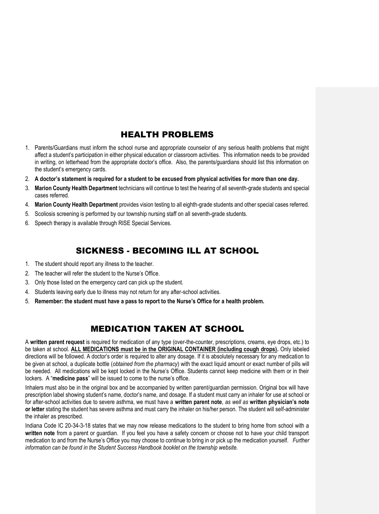### HEALTH PROBLEMS

- 1. Parents/Guardians must inform the school nurse and appropriate counselor of any serious health problems that might affect a student's participation in either physical education or classroom activities. This information needs to be provided in writing, on letterhead from the appropriate doctor's office. Also, the parents/guardians should list this information on the student's emergency cards.
- 2. **A doctor's statement is required for a student to be excused from physical activities for more than one day.**
- 3. **Marion County Health Department** technicians will continue to test the hearing of all seventh-grade students and special cases referred.
- 4. **Marion County Health Department** provides vision testing to all eighth-grade students and other special cases referred.
- 5. Scoliosis screening is performed by our township nursing staff on all seventh-grade students.
- 6. Speech therapy is available through RISE Special Services.

### SICKNESS - BECOMING ILL AT SCHOOL

- 1. The student should report any illness to the teacher.
- 2. The teacher will refer the student to the Nurse's Office.
- 3. Only those listed on the emergency card can pick up the student.
- 4. Students leaving early due to illness may not return for any after-school activities.
- 5. **Remember: the student must have a pass to report to the Nurse's Office for a health problem.**

# MEDICATION TAKEN AT SCHOOL

A **written parent request** is required for medication of any type (over-the-counter, prescriptions, creams, eye drops, etc.) to be taken at school. **ALL MEDICATIONS must be in the ORIGINAL CONTAINER (including cough drops).** Only labeled directions will be followed. A doctor's order is required to alter any dosage. If it is absolutely necessary for any medication to be given at school, a duplicate bottle (*obtained from the pharmacy*) with the exact liquid amount or exact number of pills will be needed. All medications will be kept locked in the Nurse's Office. Students cannot keep medicine with them or in their lockers. A "**medicine pass**" will be issued to come to the nurse's office.

Inhalers must also be in the original box and be accompanied by written parent/guardian permission. Original box will have prescription label showing student's name, doctor's name, and dosage. If a student must carry an inhaler for use at school or for after-school activities due to severe asthma, we must have a **written parent note**, *as well as* **written physician's note or letter** stating the student has severe asthma and must carry the inhaler on his/her person. The student will self-administer the inhaler as prescribed.

Indiana Code IC 20-34-3-18 states that we may now release medications to the student to bring home from school with a **written note** from a parent or guardian. If you feel you have a safety concern or choose not to have your child transport medication to and from the Nurse's Office you may choose to continue to bring in or pick up the medication yourself. *Further information can be found in the Student Success Handbook booklet on the township website.*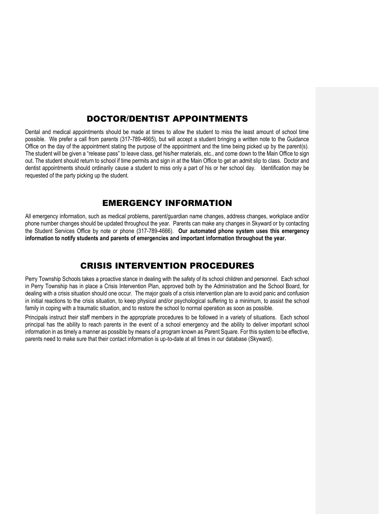### DOCTOR/DENTIST APPOINTMENTS

Dental and medical appointments should be made at times to allow the student to miss the least amount of school time possible. We prefer a call from parents (317-789-4665), but will accept a student bringing a written note to the Guidance Office on the day of the appointment stating the purpose of the appointment and the time being picked up by the parent(s). The student will be given a "release pass" to leave class, get his/her materials, etc., and come down to the Main Office to sign out. The student should return to school if time permits and sign in at the Main Office to get an admit slip to class. Doctor and dentist appointments should ordinarily cause a student to miss only a part of his or her school day. Identification may be requested of the party picking up the student.

### EMERGENCY INFORMATION

All emergency information, such as medical problems, parent/guardian name changes, address changes, workplace and/or phone number changes should be updated throughout the year. Parents can make any changes in Skyward or by contacting the Student Services Office by note or phone (317-789-4666). **Our automated phone system uses this emergency information to notify students and parents of emergencies and important information throughout the year.**

### CRISIS INTERVENTION PROCEDURES

Perry Township Schools takes a proactive stance in dealing with the safety of its school children and personnel. Each school in Perry Township has in place a Crisis Intervention Plan, approved both by the Administration and the School Board, for dealing with a crisis situation should one occur. The major goals of a crisis intervention plan are to avoid panic and confusion in initial reactions to the crisis situation, to keep physical and/or psychological suffering to a minimum, to assist the school family in coping with a traumatic situation, and to restore the school to normal operation as soon as possible.

Principals instruct their staff members in the appropriate procedures to be followed in a variety of situations. Each school principal has the ability to reach parents in the event of a school emergency and the ability to deliver important school information in as timely a manner as possible by means of a program known as Parent Square. For this system to be effective, parents need to make sure that their contact information is up-to-date at all times in our database (Skyward).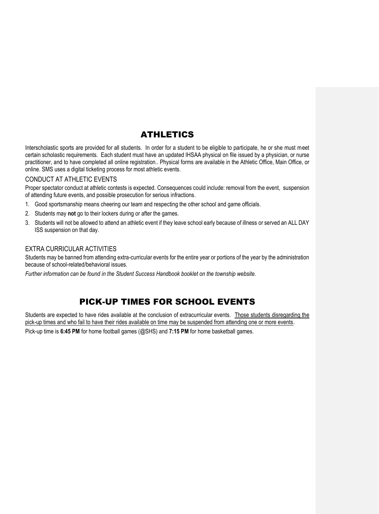# ATHLETICS

Interscholastic sports are provided for all students. In order for a student to be eligible to participate, he or she must meet certain scholastic requirements. Each student must have an updated IHSAA physical on file issued by a physician, or nurse practitioner, and to have completed all online registration.. Physical forms are available in the Athletic Office, Main Office, or online. SMS uses a digital ticketing process for most athletic events.

#### CONDUCT AT ATHLETIC EVENTS

Proper spectator conduct at athletic contests is expected. Consequences could include: removal from the event, suspension of attending future events, and possible prosecution for serious infractions.

- 1. Good sportsmanship means cheering our team and respecting the other school and game officials.
- 2. Students may **not** go to their lockers during or after the games.
- 3. Students will not be allowed to attend an athletic event if they leave school early because of illness or served an ALL DAY ISS suspension on that day.

#### EXTRA CURRICULAR ACTIVITIES

Students may be banned from attending extra-curricular events for the entire year or portions of the year by the administration because of school-related/behavioral issues.

*Further information can be found in the Student Success Handbook booklet on the township website.*

# PICK-UP TIMES FOR SCHOOL EVENTS

Students are expected to have rides available at the conclusion of extracurricular events. Those students disregarding the pick-up times and who fail to have their rides available on time may be suspended from attending one or more events.

Pick-up time is **6:45 PM** for home football games (@SHS) and **7:15 PM** for home basketball games.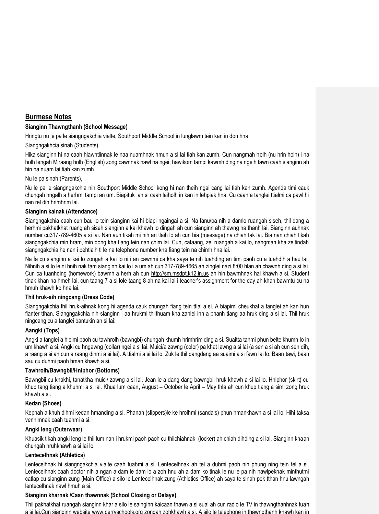### **Burmese Notes**

#### **Sianginn Thawngthanh (School Message)**

Hringtu nu le pa le siangngakchia vialte, Southport Middle School in lunglawm tein kan in don hna.

Siangngakhcia sinah (Students),

Hika sianginn hi na caah hlawhtlinnak le naa nuamhnak hmun a si lai tiah kan zumh. Cun nangmah holh (nu hrin holh) i na holh lengah Miraang holh (English) zong cawnnak nawl na ngei, hawikom tampi kawmh ding na ngeih fawn caah sianginn ah hin na nuam lai tiah kan zumh.

#### Nu le pa sinah (Parents),

Nu le pa le siangngakchia nih Southport Middle School kong hi nan theih ngai cang lai tiah kan zumh. Agenda timi cauk chungah hngalh a herhmi tampi an um. Biapituk an si caah laiholh in kan in lehpiak hna. Cu caah a tanglei ttialmi ca pawl hi nan rel dih hrimhrim lai.

#### **Sianginn kainak (Attendance)**

Siangngakchia caah cun bau lo tein sianginn kai hi biapi ngaingai a si. Na fanu/pa nih a damlo ruangah siseh, thil dang a herhmi pakhatkhat ruang ah siseh sianginn a kai khawh lo dingah ah cun sianginn ah thawng na thanh lai. Sianginn auhnak number cu317-789-4605 a si lai. Nan auh tikah mi nih an tlaih lo ah cun bia (message) na chiah tak lai. Bia nan chiah tikah siangngakchia min hram, min dong kha fiang tein nan chim lai. Cun, cataang, zei ruangah a kai lo, nangmah kha zeitindah siangngakchia he nan i pehtlaih ti le na telephone number kha fiang tein na chimh hna lai.

Na fa cu sianginn a kai lo zongah a kai lo ni i an cawnmi ca kha saya te nih tuahding an timi paoh cu a tuahdih a hau lai. Nihnih a si lo le ni hnih nak tam sianginn kai lo i a um ah cun 317-789-4665 ah zinglei nazi 8:00 hlan ah chawnh ding a si lai. Cun ca tuanhding (homework) bawmh a herh ah cun http://sm.msdpt.k12.in.us ah hin bawmhnak hal khawh a si. Student tinak khan na hmeh lai, cun taang 7 a si lole taang 8 ah na kal lai i teacher's assignment for the day ah khan bawmtu cu na hmuh khawh ko hna lai.

#### **Thil hruk-aih ningcang (Dress Code)**

Siangngakchia thil hruk-aihnak kong hi agenda cauk chungah fiang tein ttial a si. A biapimi cheukhat a tanglei ah kan hun fianter tthan. Siangngakchia nih sianginn i aa hrukmi thilthuam kha zanlei inn a phanh tiang aa hruk ding a si lai. Thil hruk ningcang cu a tanglei bantukin an si lai:

#### **Aangki (Tops)**

Angki a tanglei a hleimi paoh cu tawhrolh (bawngbi) chungah khumh hrimhrim ding a si. Suaitta tahmi phun belte khumh lo in um khawh a si. Angki cu hngawng (collar) ngei a si lai. Muici/a zawng (color) pa khat lawng a si lai (a sen a si ah cun sen dih, a raang a si ah cun a raang dihmi a si lai). A ttialmi a si lai lo. Zuk le thil dangdang aa suaimi a si fawn lai lo. Baan tawi, baan sau cu duhmi paoh hman khawh a si.

#### **Tawhrolh/Bawngbii/Hniphor (Bottoms)**

Bawngbii cu khakhi, tanatkha muici/ zawng a si lai. Jean le a dang dang bawngbii hruk khawh a si lai lo. Hniphor (skirt) cu khup tang tiang a khuhmi a si lai. Khua lum caan, August – October le April – May thla ah cun khup tiang a simi zong hruk khawh a si.

#### **Kedan (Shoes)**

Kephah a khuh dihmi kedan hmanding a si. Phanah (slippers)le ke hrolhmi (sandals) phun hmankhawh a si lai lo. Hihi taksa venhimnak caah tuahmi a si.

#### **Angki leng (Outerwear)**

Khuasik tikah angki leng le thil lum nan i hrukmi paoh paoh cu thilchiahnak (locker) ah chiah dihding a si lai. Sianginn khaan chungah hruhkhawh a si lai lo.

#### **Lentecelhnak (Athletics)**

Lentecelhnak hi siangngakchia vialte caah tuahmi a si. Lentecelhnak ah tel a duhmi paoh nih phung ning tein tel a si. Lentecelhnak caah doctor nih a ngan a dam le dam lo a zoh hnu ah a dam ko tinak le nu le pa nih nawlpeknak minthutmi catlap cu sianginn zung (Main Office) a silo le Lentecelhnak zung (Athletics Office) ah saya te sinah pek tthan hnu lawngah lentecelhnak nawl hmuh a si.

#### **Sianginn kharnak /Caan thawnnak (School Closing or Delays)**

Thil pakhatkhat ruangah sianginn khar a silo le sainginn kaicaan thawn a si sual ah cun radio le TV in thawngthanhnak tuah a si lai.Cun sianginn website www.perryschools.org zongah zohkhawh a si. A silo le telephone in thawngthanh khawh kan in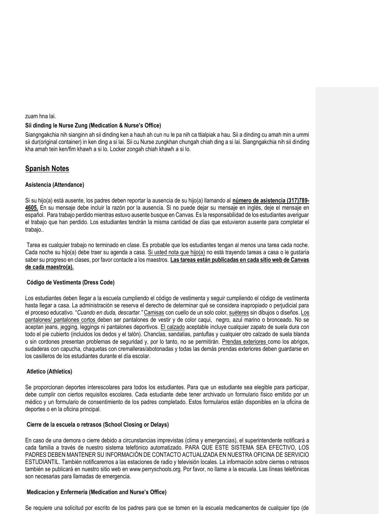#### zuam hna lai.

#### **Sii dinding le Nurse Zung (Medication & Nurse's Office)**

Siangngakchia nih sianginn ah sii dinding ken a hauh ah cun nu le pa nih ca ttialpiak a hau. Sii a dinding cu amah min a ummi sii dur(original container) in ken ding a si lai. Sii cu Nurse zungkhan chungah chiah ding a si lai. Siangngakchia nih sii dinding kha amah tein ken/fim khawh a si lo. Locker zongah chiah khawh a si lo.

### **Spanish Notes**

#### **Asistencia (Attendance)**

Si su hijo(a) está ausente, los padres deben reportar la ausencia de su hijo(a) llamando al **número de asistencia (317)789- 4605.** En su mensaje debe incluir la razón por la ausencia. Si no puede dejar su mensaje en inglés, deje el mensaje en español. Para trabajo perdido mientras estuvo ausente busque en Canvas. Es la responsabilidad de los estudiantes averiguar el trabajo que han perdido. Los estudiantes tendrán la misma cantidad de días que estuvieron ausente para completar el trabajo..

Tarea es cualquier trabajo no terminado en clase. Es probable que los estudiantes tengan al menos una tarea cada noche. Cada noche su hijo(a) debe traer su agenda a casa. Si usted nota que hijo(a) no está trayendo tareas a casa o le gustaría saber su progreso en clases, por favor contacte a los maestros. **Las tareas están publicadas en cada sitio web de Canvas de cada maestro(a).**

#### **Código de Vestimenta (Dress Code)**

Los estudiantes deben llegar a la escuela cumpliendo el código de vestimenta y seguir cumpliendo el código de vestimenta hasta llegar a casa. La administración se reserva el derecho de determinar qué se considera inapropiado o perjudicial para el proceso educativo. "*Cuando en duda, descartar."* Camisas con cuello de un solo color, suéteres sin dibujos o diseños. Los pantalones/ pantalones cortos deben ser pantalones de vestir y de color caqui, negro, azul marino o bronceado. No se aceptan jeans, jegging, leggings ni pantalones deportivos. El calzado aceptable incluye cualquier zapato de suela dura con todo el pie cubierto (incluidos los dedos y el talón). Chanclas, sandalias, pantuflas y cualquier otro calzado de suela blanda o sin cordones presentan problemas de seguridad y, por lo tanto, no se permitirán. Prendas exteriores como los abrigos, sudaderas con capucha, chaquetas con cremalleras/abotonadas y todas las demás prendas exteriores deben guardarse en los casilleros de los estudiantes durante el día escolar.

#### **Atletico (Athletics)**

Se proporcionan deportes interescolares para todos los estudiantes. Para que un estudiante sea elegible para participar, debe cumplir con ciertos requisitos escolares. Cada estudiante debe tener archivado un formulario físico emitido por un médico y un formulario de consentimiento de los padres completado. Estos formularios están disponibles en la oficina de deportes o en la oficina principal.

#### **Cierre de la escuela o retrasos (School Closing or Delays)**

En caso de una demora o cierre debido a circunstancias imprevistas (clima y emergencias), el superintendente notificará a cada familia a través de nuestro sistema telefónico automatizado. PARA QUE ESTE SISTEMA SEA EFECTIVO, LOS PADRES DEBEN MANTENER SU INFORMACIÓN DE CONTACTO ACTUALIZADA EN NUESTRA OFICINA DE SERVICIO ESTUDIANTIL. También notificaremos a las estaciones de radio y televisión locales. La información sobre cierres o retrasos también se publicará en nuestro sitio web en www.perryschools.org. Por favor, no llame a la escuela. Las líneas telefónicas son necesarias para llamadas de emergencia.

#### **Medicacion y Enfermería (Medication and Nurse's Office)**

Se requiere una solicitud por escrito de los padres para que se tomen en la escuela medicamentos de cualquier tipo (de